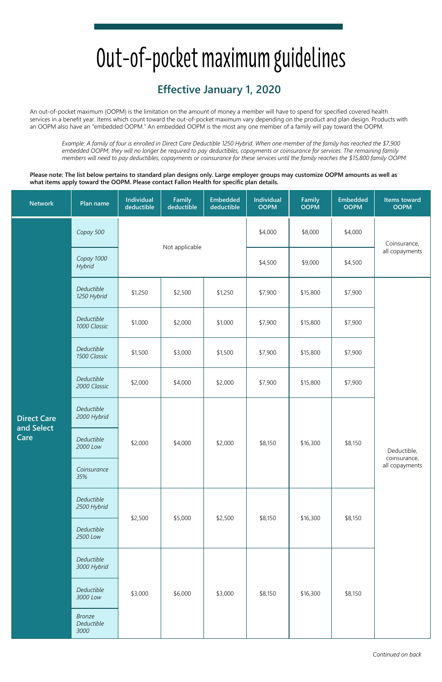## Out-of-pocket maximum guidelines

## **Effective January 1, 2020**

An out-of-pocket maximum (OOPM) is the limitation on the amount of money a member will have to spend for specified covered health services in a benefit year. Items which count toward the out-of-pocket maximum vary depending on the product and plan design. Products with an OOPM also have an "embedded OOPM." An embedded OOPM is the most any one member of a family will pay toward the OOPM.

*Example: A family of four is enrolled in Direct Care Deductible 1250 Hybrid. When one member of the family has reached the \$7,900 embedded OOPM, they will no longer be required to pay deductibles, copayments or coinsurance for services. The remaining family members will need to pay deductibles, copayments or coinsurance for these services until the family reaches the \$15,800 family OOPM.* 

**Please note: The list below pertains to standard plan designs only. Large employer groups may customize OOPM amounts as well as what items apply toward the OOPM. Please contact Fallon Health for specific plan details.** 

| <b>Network</b>                           | Plan name                           | <b>Individual</b><br>deductible | Family<br>deductible | <b>Embedded</b><br>deductible | <b>Individual</b><br><b>OOPM</b> | Family<br><b>OOPM</b> | <b>Embedded</b><br><b>OOPM</b> | <b>Items toward</b><br><b>OOPM</b>            |
|------------------------------------------|-------------------------------------|---------------------------------|----------------------|-------------------------------|----------------------------------|-----------------------|--------------------------------|-----------------------------------------------|
| <b>Direct Care</b><br>and Select<br>Care | Copay 500                           |                                 |                      |                               | \$4,000                          | \$8,000               | \$4,000                        | Coinsurance,                                  |
|                                          | Copay 1000<br>Hybrid                |                                 | Not applicable       |                               | \$4,500                          | \$9,000               | \$4,500                        | all copayments                                |
|                                          | Deductible<br>1250 Hybrid           | \$1,250                         | \$2,500              | \$1,250                       | \$7,900                          | \$15,800              | \$7,900                        | Deductible,<br>coinsurance,<br>all copayments |
|                                          | Deductible<br>1000 Classic          | \$1,000                         | \$2,000              | \$1,000                       | \$7,900                          | \$15,800              | \$7,900                        |                                               |
|                                          | Deductible<br>1500 Classic          | \$1,500                         | \$3,000              | \$1,500                       | \$7,900                          | \$15,800              | \$7,900                        |                                               |
|                                          | Deductible<br>2000 Classic          | \$2,000                         | \$4,000              | \$2,000                       | \$7,900                          | \$15,800              | \$7,900                        |                                               |
|                                          | Deductible<br>2000 Hybrid           | \$2,000                         | \$4,000              | \$2,000                       | \$8,150                          | \$16,300              | \$8,150                        |                                               |
|                                          | Deductible<br>2000 Low              |                                 |                      |                               |                                  |                       |                                |                                               |
|                                          | Coinsurance<br>35%                  |                                 |                      |                               |                                  |                       |                                |                                               |
|                                          | Deductible<br>2500 Hybrid           | \$2,500                         | \$5,000              | \$2,500                       | \$8,150                          | \$16,300              | \$8,150                        |                                               |
|                                          | Deductible<br>2500 Low              |                                 |                      |                               |                                  |                       |                                |                                               |
|                                          | Deductible<br>3000 Hybrid           | \$3,000                         | \$6,000              | \$3,000                       | \$8,150                          | \$16,300              | \$8,150                        |                                               |
|                                          | Deductible<br>3000 Low              |                                 |                      |                               |                                  |                       |                                |                                               |
|                                          | <b>Bronze</b><br>Deductible<br>3000 |                                 |                      |                               |                                  |                       |                                |                                               |

*Continued on back*